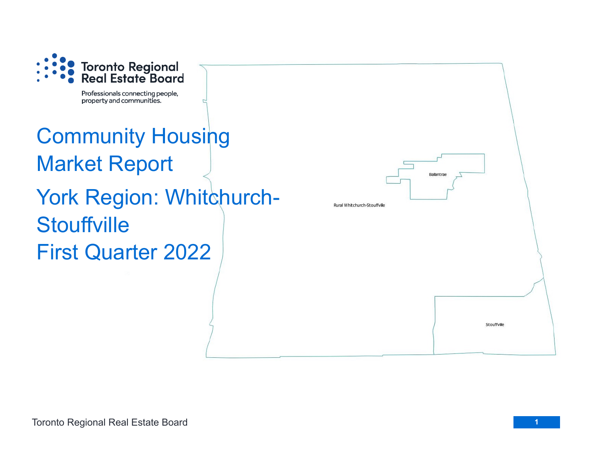

Professionals connecting people, property and communities.

## Community Housing Market Report York Region: Whitchurch-**Stouffville** First Quarter 2022

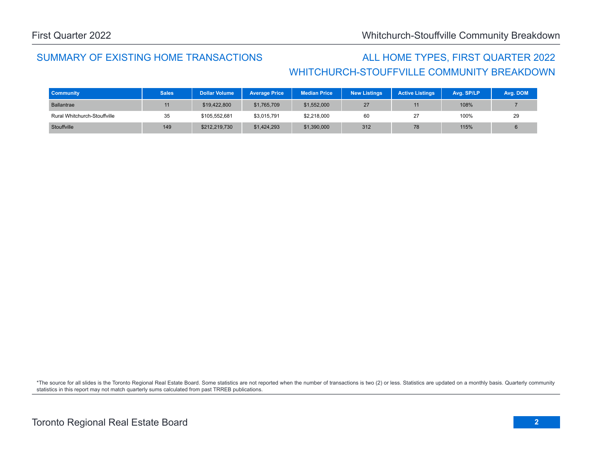## WHITCHURCH-STOUFFVILLE COMMUNITY BREAKDOWN SUMMARY OF EXISTING HOME TRANSACTIONS ALL HOME TYPES, FIRST QUARTER 2022

| <b>Community</b>             | <b>Sales</b> | <b>Dollar Volume</b> | <b>Average Price</b> | <b>Median Price</b> | <b>New Listings</b> | <b>Active Listings</b> | Avg. SP/LP | Avg. DOM |
|------------------------------|--------------|----------------------|----------------------|---------------------|---------------------|------------------------|------------|----------|
| Ballantrae                   |              | \$19,422,800         | \$1,765,709          | \$1,552,000         | 27                  |                        | 108%       |          |
| Rural Whitchurch-Stouffville | 35           | \$105.552.681        | \$3,015,791          | \$2,218,000         | 60                  |                        | 100%       | 29       |
| Stouffville                  | 149          | \$212,219,730        | \$1,424,293          | \$1,390,000         | 312                 | 78                     | 115%       |          |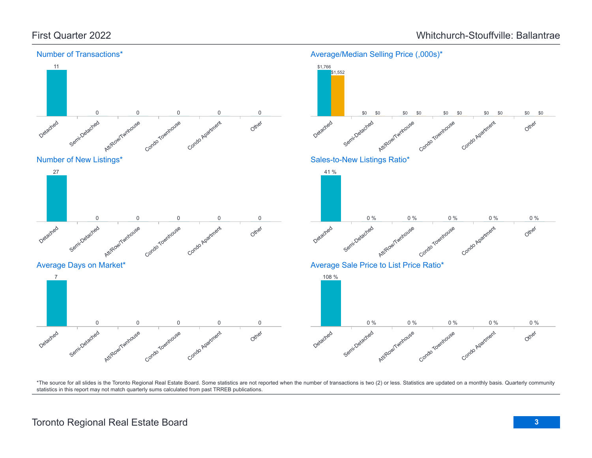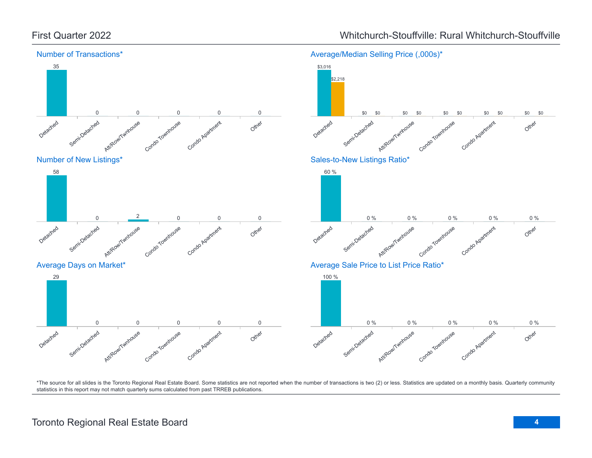